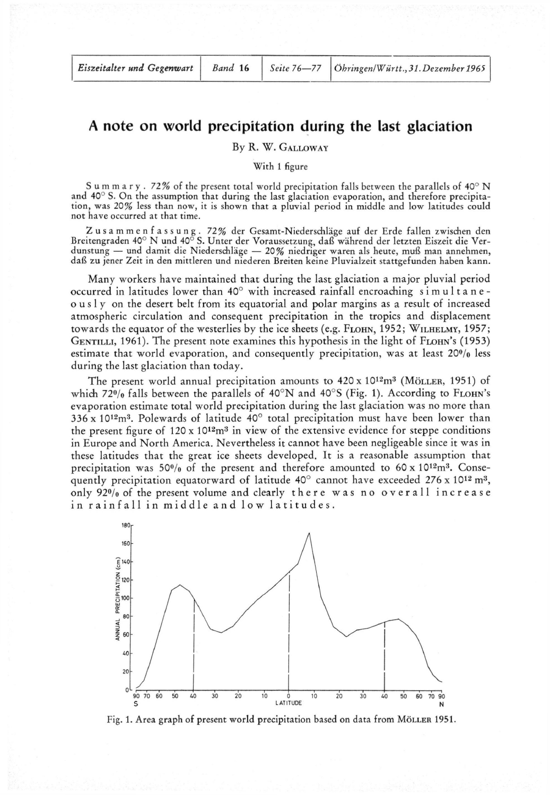## **A note on world precipitation during the last glaciation**

## By R. W. GALLOWAY

With 1 figure

Summary . 72% of the present total world precipitation falls between the parallels of 40° N and 40° S. On the assumption that during the last glaciation evaporation, and therefore precipitation, was 20% less than now, it is shown that a pluvial period in middle and low latitudes could not have occurred at that time.

Zusammenfassung . 72% der Gesamt-Niederschläge auf der Erde fallen zwischen den Breitengraden 40° N und 40° S. Unter der Voraussetzung, daß während der letzten Eiszeit die Verdunstung — und damit die Niederschläge — 20% niedriger waren als heute, muß man annehmen, daß zu jener Zeit in den mittleren und niederen Breiten keine Pluvialzeit stattgefunden haben kann.

Many workers have maintained that during the last glaciation a major pluvial period occurred in latitudes lower than  $40^{\circ}$  with increased rainfall encroaching simultaneousl y on the desert belt from its equatorial and polar margins as a result of increased atmospheric circulation and consequent precipitation in the tropics and displacement towards the equator of the westerlies by the ice sheets (e.g. FLOHN, 1952; WILHELMY, 1957; GENTILLI, 1961). The present note examines this hypothesis in the light of FLOHN's (1953) estimate that world evaporation, and consequently precipitation, was at least 20% less during the last glaciation than today.

The present world annual precipitation amounts to  $420 \times 10^{12} \text{m}^3$  (MöLLER, 1951) of which 72% falls between the parallels of 40°N and 40°S (Fig. 1). According to FLOHN's evaporation estimate total world precipitation during the last glaciation was no more than 336 x 10<sup>12</sup>m<sup>3</sup>. Polewards of latitude 40 $^{\circ}$  total precipitation must have been lower than the present figure of  $120 \times 10^{12}$ m<sup>3</sup> in view of the extensive evidence for steppe conditions in Europe and North America. Nevertheless it cannot have been negligeable since it was in these latitudes that the great ice sheets developed. It is a reasonable assumption that precipitation was 50% of the present and therefore amounted to 60 x 10<sup>12</sup>m<sup>3</sup>. Consequently precipitation equatorward of latitude 40 $^{\circ}$  cannot have exceeded 276 x 10<sup>12</sup> m<sup>3</sup>, only  $92\%$  of the present volume and clearly there was no overall increase in rainfall in middle and low latitudes.



Fig. 1. Area graph of present world precipitation based on data from MÖLLER 1951.